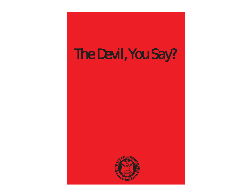# The Devi l , You Say?

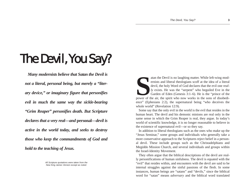## The Devil, You Say?

*Many modernists believe that Satan the Devil is not a literal, personal being, but merely a "literary device," or imaginary figure that personifies evil in much the same way the sickle-bearing "Grim Reaper" personifies death. But Scripture declares that a very real—and* **personal***—devil is active in the world today, and seeks to destroy those who keep the commandments of God and hold to the teaching of Jesus.*

> *All Scripture quotations were taken from the New King James Version except as noted.*

atan the Devil is no laughing matter. While left-wing modernists and liberal theologians scoff at the idea of a literal devil, the holy Word of God declares that the evil one *real-ly* exists. He was the "serpent" who beg power of the air, the spirit who now works in the sons of disobedience" (Ephesians 2:2), the supernatural being "who deceives the whole world" (Revelation 12:9).

Some say that the only evil in the world is the evil that resides in the human heart. The devil and his demonic minions are real only in the same sense in which the Grim Reaper is real, they argue. In today's world of scientific knowledge, it is no longer reasonable to believe in the existence of supernatural evil—or so they say.

In addition to liberal theologians such as the ones who make up the "Jesus Seminar," some groups and individuals who generally take a more conservative approach to the Scriptures reject belief in a personal devil. These include groups such as the Christadelphians and Megiddo Mission Church, and several individuals and groups within the Israel-Identity Movement.

They often argue that the biblical descriptions of the devil are really personifications of human sinfulness. The devil is equated with the "evil" that resides within, and encounters with the devil are said to be internal struggles against the sinful passions of the flesh. In some instances, human beings are "satans" and "devils," since the biblical word for "satan" means *adversary* and the biblical word translated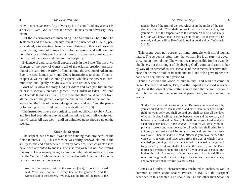"devil" means *accuser*. Any adversary is a "satan," and any accuser is <sup>a</sup>"devil." Even God is a "satan" when He acts as an adversary, they claim.

But these arguments are misleading. The Scriptures—both the Old Testament and the New—clearly reveal the existence of a literal, personal devil, a supernatural being whose influence in this world extends from the beginning of human history to the present, and will continue until the close of this age. He is not merely *an* adversary or *an* accuser; he is called *the* Satan and *the* devil in Scripture.

Evidence of a personal devil appears early in the Bible. The first two chapters of the book of Genesis tell of the original creation, preparation of the earth for the arrival of humankind, the creation of Adam and Eve, the first human pair, and God's instructions to them. Then, in chapter 3, we read of a cunning "serpent" who has the power to communicate intelligently. Obviously, this is no ordinary snake.

Most of us know the story. God put Adam and Eve (the first human pair) in a specially prepared garden—the Garden of Eden—"to tend and keep it" (Genesis 2:15). He told them that they could eat fruit from all the trees of the garden, except the one in the midst of the garden. It was called the "tree of the knowledge of good and evil," and the penalty for eating of its forbidden fruit was death (2:17; 3:3).

The instructions were not confusing, and not difficult to obey. Adam and Eve had everything they needed, including joyous fellowship with their Creator. All was well—until an uninvited guest showed up on the scene…

## **Enter the Serpent**

The serpent, we are told, "was more cunning than any beast of the field" (Genesis 3:1). This means he was crafty, shrewd, skilled in the ability to mislead and deceive. In many societies, such characteristics have been attributed to snakes. The inspired writer is not confirming this myth. He is merely using a common belief about snakes to show that the "serpent" who appears in the garden with Adam and Eve *really does* have seductive powers.

And he [the serpent] said to the woman [Eve], "Has God indeed said, 'You shall not eat of every tree of the garden'?" And the woman said to the serpent, "We may eat the fruit of the trees of the garden; but of the fruit of the tree which is in the midst of the garden, God has said, 'You shall not eat it, nor shall you touch it, lest you die.'" Then the serpent said to the woman, "You will not surely die. For God knows that in the day you eat of it your eyes will be opened, and you will be like God, knowing good and evil" (Genesis  $3:1-5$ ).

This scene does not portray an inner struggle with sinful human nature. The serpent is *other than* the woman. He is an *external* adversary, not an internal one. The woman was responsible for her own disobedience, but the thought of disobeying God's command came to her by way of an *external* source. Because of the serpents deceptive influence, the woman "took of its fruit and ate," and "also gave to her husband with her, and he ate" (verse 6).

Thus sin entered the world of humankind—and with sin came the curse. The fact that Adam, Eve, *and* the serpent are cursed is revealing, for if the serpent were nothing more than the personification of sinful human nature, the curse would pertain only to the man and the woman.

So the LORD God said to *the serpent:* "Because you have done this, you are cursed more than all cattle, and more than every beast of the field; on your belly you shall go, and you shall eat dust all the days of your life. And I will put enmity between you and the woman, and between your seed and her Seed; He shall bruise your head, and you shall bruise His heel." To *the woman* He said: "I will greatly multiply your sorrow and your conception; in pain you shall bring forth children; your desire shall be for your husband, and he shall rule over you." Then *to Adam* He said, "Because you have heeded the voice of your wife, and have eaten from the tree of which I commanded you, saying, 'You shall not eat of it': Cursed is the ground for your sake; in toil you shall eat of it all the days of your life. Both thorns and thistles it shall bring forth for you, and you shall eat the herb of the field. In the sweat of your face you shall eat bread till you return to the ground, for out of it you were taken; for dust you are, and to dust you shall return" (Genesis 3:14–19).

Genesis 3 alludes to characteristics attributed to snakes as well as common attitudes about snakes (verses 14,15). But the "serpent" described in this chapter is no snake. He is none other than Satan the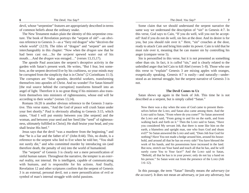devil, whose "serpentine" features are appropriately described in terms of common beliefs about the ordinary snake.

The New Testament makes plain the identity of this serpentine creature. The book of Revelation portrays the "serpent of old"—an obvious reference to Genesis 3—as a "fiery red dragon" who "deceives the whole world" (12:9). The titles of "dragon" and "serpent" are used interchangeably in this chapter: "Now when the *dragon* saw that he had been cast out….So the *serpen<sup>t</sup>* spewed water out of his mouth….And the *dragon* was enraged…" (verses 13,15,17).

The apostle Paul associates the serpent's deceptive activity in the garden with Satan's present work. He writes, "But I fear, lest somehow, as the serpent deceived Eve by his craftiness, so your minds may be corrupted from the simplicity that is in Christ" (2 Corinthians 11:3). The corruptors are "false apostles, deceitful workers, transforming themselves into apostles of Christ. And no wonder! For Satan himself [the real source behind the corruption] transforms himself into an angel of light. Therefore it is no great thing if his ministers also transform themselves into ministers of righteousness, whose end will be according to their works" (verses 13,14).

Romans 16:20 is another obvious reference to the Genesis 3 narrative. This verse states, "And the God of peace will crush Satan under your feet shortly." Paul is obviously alluding to Genesis 3:15, which states, "And I will put enmity between you [the serpent] and the woman, and between your seed and her Seed [the "seed" of righteousness, ultimately fulfilled in Christ]; He shall bruise your head, and you shall bruise His heel."

Jesus says that the devil "was a murderer from the beginning," and that "he is a liar and the father of it" (John 8:44). This, no doubt, is a reference to the serpent who lied to Eve when he told her, "You shall not surely die," and who committed murder by introducing sin (and therefore death, the penalty of sin) into the world of humankind.

The "serpent" of Genesis 3 is clearly *not* a mere personification of sinful human nature. Throughout the narrative, the tempter is an *external* reality, not internal. He is intelligent, capable of communicating with humans, and is responsible for his actions. And finally, Revelation 12 and other scriptures confirm that the serpent of Genesis 3 is an external, personal devil, not a mere personification of evil or symbol of man's internal struggle with sinful passions.

Some claim that we should understand the serpent narrative the same way we understand the description of "sin" in Genesis 4:7. In this verse, God says to Cain, "If you do well, will you not be accepted? And if you do not do well, sin lies at the door. And its desire is for you, but you should rule over it." Here, "sin" crouches at the door, ready to attack Cain and bring him under its power. Cain is told that he must rule over it, meaning that he can master sin by controlling his anger (compare verse 5).

Sin is personified in this verse, but it is not presented as something other than sin. In fact, it is *called* "sin," and is clearly related to the unbridled anger that led Cain to kill Abel (verses 5–8). Those who use this verse to "explain" Genesis 3 are mixing apples with oranges, exegetically speaking. Genesis 4:7 is easily—and naturally—understood as an internal struggle, but the serpent narrative of Genesis 3 is not.

#### **The Devil Comes to Uz**

Satan shows up again in the book of Job. This time he is not described as a serpent, but is simply called "Satan."

Now there was a day when the sons of God came to present themselves before the LORD, and Satan also came among them. And the LORD said to Satan, "From where do you come?" So Satan answered the LORD and said, "From going to and fro on the earth, and from walking back and forth on it." Then the LORD said to Satan, "Have you considered My servant Job, that there is none like him on the earth, a blameless and upright man, one who fears God and shuns evil?" So Satan answered the LORD and said, "Does Job fear God for nothing? Have You not made a hedge around him, around his household, and around all that he has on every side? You have blessed the work of his hands, and his possessions have increased in the land. But now, stretch out Your hand and touch all that he has, and he will surely curse You to Your face!" And the LORD said to Satan, "Behold, all that he has is in your power; only do not lay a hand on his person." So Satan went out from the presence of the LORD (Job  $1:6-12$ ).

In this passage, the term "Satan" literally means *the adversary* (or *the accuser*). It does not mean *an* adversary, or just *any* adversary, but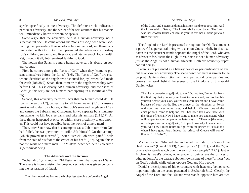speaks specifically of *the* adversary. The definite article indicates a particular adversary, and the writer of the text assumes that his readers will immediately know of whom he speaks.

Some argue that the adversary here is a *human* adversary, not a supernatural one. He came among the "sons of God," who were Godfearing men presenting their sacrifices before the Lord, and there communicated with God. God then permitted the adversary to destroy Job's children, servants, and livestock, and later to attack Job's health. Yet, through it all, Job remained faithful to God.

The notion that Satan is a mere human adversary is absurd on several counts.

First, he comes among the "sons of God" when they "came to present themselves before the LORD" (1:6). The "sons of God" are elsewhere identified as the angels who "shouted for joy" when God made the earth (Job 38:7). Satan, then, came with the angels when they went before God. This is clearly *not* a human adversary, and the "sons of God" (in this text) are not humans participating in a sacrificial offering.

Second, this adversary performs acts that no human could do. He roams the earth (1:7), causes fire to fall from heaven (1:16), causes a great wind to destroy a house, killing Job's sons and daughters (1:19), and causes the Sabeans and Chaldeans, in two separate but simultaneous attacks, to kill Job's servants and take his animals (1:15,17). All these things happened at once, or within close proximity to one another. This could not have possibly been the work of a mere man!

Then, after Satan saw that his attempt to cause Job to turn from God had failed, he was permitted to strike Job himself. On this attempt (which proved unsuccessful), Satan "struck Job with painful boils from the sole of his foot to the crown of his head" (2:7). Again, this is not the work of a mere man. The "Satan" described here is clearly a *supernatural* being.

### **The Advocate and the Accuser**

Zechariah 3:1,2 is another Old Testament text that speaks of Satan. The scene is from a vision the prophet Zechariah was given concerning the restoration of Israel.

Then he showed me Joshua the high priest standing before the Angel

of the LORD, and Satan standing at his right hand to oppose him. And the LORD said to Satan, "The LORD rebuke you, Satan! The LORD who has chosen Jerusalem rebuke you! Is this not a brand plucked from the fire?"

The Angel of the Lord is presented throughout the Old Testament as a powerful supernatural being who acts on God's behalf. In this text, Satan (as the accuser) stands opposite the Angel of the Lord, who acts as advocate for Joshua the High Priest. Satan is not a human adversary, just as the Angel is not a human advocate. Both are obviously supernatural beings.

Satan is not presented as a literary device or personification of evil, but as an *external* adversary. The scene described here is similar to the prophet Daniel's description of the supernatural principalities and powers that work behind the scenes of the kingdoms of this world. Daniel writes:

Then he [a powerful angel] said to me, "Do not fear, Daniel, for from the first day that you set your heart to understand, and to humble yourself before your God, your words were heard; and I have come because of your words. But the prince of the kingdom of Persia withstood me twenty-one days; and behold, Michael, one of the chief princes, came to help me, for I had been left alone there with the kings of Persia. Now I have come to make you understand what will happen to your people in the latter days...." Then he [the angel, or perhaps a second angel] said, "Do you know why I have come to you? And now I must return to fight with the prince of Persia; and when I have gone forth, indeed the prince of Greece will come" (Daniel 10:12–14,20).

Michael, called "Michael the archangel" in Jude 9, is "one of the chief princes" (Daniel 10:13), "your prince" (10:21), and the "great prince who stands watch over the sons of your people" (12:1). Just as Michael is Israel's prince, other powerful beings are the princes of other nations. As the passage above shows, some of these "princes" act on God's behalf, while others oppose God and His people.

Daniel's descriptions of his encounters with heavenly beings shed important light on the scene presented in Zechariah 3:1,2. Clearly, the Angel of the Lord and the "Satan" who stands opposite him are two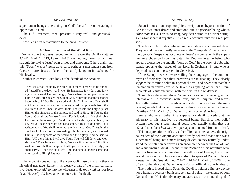superhuman beings, one acting on God's behalf, the other acting in opposition to God.

The Old Testament, then, presents a very real—and *personal* devil!

Now, let's turn our attention to the New Testament.

#### **A Close Encounter of the Worst Kind**

Some argue that Jesus' encounter with Satan the Devil (Matthew 4:1–11; Mark 1:12,13; Luke 4:1–13) was nothing more than an inner struggle involving Jesus' own drives and emotions. Others claim that this "Satan" was a *human* adversary, perhaps a messenger sent from Caesar to offer Jesus a place in the earthly kingdom in exchange for His loyalty.

Neither is correct! Let's look at the details of the account:

Then Jesus was led up by the Spirit into the wilderness to be tempted [tested] by the devil. And when He had fasted forty days and forty nights, afterward He was hungry. Now when the tempter came to Him, he said, "If You are the Son of God, command that these stones become bread." But He answered and said, "It is written, 'Man shall not live by bread alone, but by every word that proceeds from the mouth of God.'" Then the devil took Him up into the holy city, set Him on the pinnacle of the temple, and said to Him, "If You are the Son of God, throw Yourself down. For it is written: 'He shall give His angels charge over you,' and, 'In their hands they shall bear you up, lest you dash your foot against a stone.'" Jesus said to him, "It is written again, 'You shall not tempt the LORD your God.'" Again, the devil took Him up on an exceedingly high mountain, and showed Him all the kingdoms of the world and their glory. And he said to Him, "All these things I will give You if You will fall down and worship me." Then Jesus said to him, "Away with you, Satan! For it is written, 'You shall worship the LORD your God, and Him only you shall serve.'" Then the devil left Him, and behold, angels came and ministered to Him (Matthew 4:1–11).

The account does not read like a parabolic insert into an otherwise historical narrative. Rather, it is clearly a part of the historical narrative. Jesus *really did* go into the wilderness; He *really did* fast for forty days; He *really did* have an encounter with the devil.

Satan is not an anthropomorphic description or hypostatization of Christ's own inner drives and emotions, but is a *personal* being who is *other than* Jesus. This is no imaginary description of an "inner struggle" against carnal appetites; it is a real encounter involving real persons.

The Jews of Jesus' day believed in the existence of a personal devil. They would have *naturally* understood the "temptation" narratives of the Synoptic Gospels as accounts of Jesus' encounter with the superhuman archdemon known as Satan the Devil—the same being who appears alongside the angelic "sons of God" in the book of Job, who stands opposite the Angel of the Lord in Zechariah 3, and who is depicted as a cunning serpent in Genesis 3.

If the Synoptic writers were veiling their language in the common myths of their day, then their narratives are misleading. They clearly *suppor<sup>t</sup>* the common belief in a personal devil, and never hint that their temptation narratives are to be taken as anything other than literal accounts of Jesus' encounter with the devil in the wilderness.

Throughout these narratives, Satan is an *external* adversary, not an internal one. He converses with Jesus, quotes Scripture, and leaves Jesus after testing Him. The adversary is also contrasted with the ministering angels that came to Jesus once this close encounter had ended (Matthew 4:11; Mark 1:13). Satan is plainly *other than* Jesus.

Some who reject belief in a supernatural devil concede that the adversary in this narrative is a personal being. But since their belief system rules out a supernatural devil, they usually claim that this "Satan" must be a *human* devil, perhaps an unnamed Roman official.

This interpretation won't do, either. First, as noted above, the original readers of the Synoptic accounts already believed that Satan was a supernatural being, not a mere literary device, so they naturally understood the temptation narrative as an encounter between the Son of God and a supernatural devil. Second, if the "Satan" of this narrative were really a Roman official wielding the authority of Caesar, the writers would have said so. They were not afraid to speak of Roman rulers in a negative light (see Matthew 2:1–22; 14:1–11; Mark 6:17–28; Luke 3:19), so the idea that "Satan" was a Roman official is utterly absurd.

The truth is indeed plain. Satan the Devil is neither a literary device nor a human adversary, but is a supernatural being—the enemy of both God and man. He is the adversary and accuser, the evil one, the god of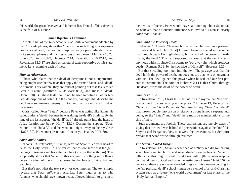this world, the great deceiver, and father of lies. Denial of his existence is the fruit of his labor!

#### **Some Objections Examined**

Article XXII of the *1877 Statement of Faith*, a document adopted by the Christadelphians, states that "there is no such thing as a supernatural personal devil, the devil of Scripture being a personification of sin in its several phases and manifestations among men." Matthew 16:23; John 6:70; Acts 5:3–9; Hebrews 2:14; Revelation 2:10,12,13; and Revelation 12:3,17 are cited as scriptural texts supportive of this statement. Let's examine each of these.

#### *Human Adversaries*

Those who claim that the devil of Scripture is not a supernatural being emphasize the few texts that apply the terms "Satan" and "devil" to humans. For example, they are fond of pointing out that Jesus called Peter a "Satan" (Matthew 16:23; Mark 8:33), and Judas a "devil" (John 6:70). But these texts should not be used to define all other biblical descriptions of Satan. On the contrary, passages that describe the devil as a supernatural enemy of God and man should shed light on these texts.

Christ called Peter "Satan" because Peter was acting like Satan. He called Judas a "devil" because he was doing the devil's bidding. By the time of the last supper, "the devil" had "already put it into the heart of Judas Iscariot…to betray Him" (13:2). During the supper, "Satan entered him [Judas]," and he went out right away to betray Jesus (13:27–30). No wonder Jesus said, "one of you is a devil" (6:70).

## *Satan and Ananias*

In Acts 5:3, Peter asks, "Ananias, why has Satan filled your heart to lie to the Holy Spirit…?" The verses that follow show that the guilt belongs to Ananias and his wife Sapphira (who plotted with him). This supposedly shows that Satan, in this account, is nothing more than a personification of the sin that arose in the hearts of Ananias and Sapphira.

But that's not what the text says—or even implies. The text simply reveals that Satan *influenced* Ananias. Peter inquires as to why Ananias, who should have known better, allowed himself to give in to

the devil's influence. Peter would have said nothing about Satan had he believed that no outside influence was involved. Satan is clearly *other than* Ananias.

## *Satan and the Power of Death*

Hebrews 2:14 reads, "Inasmuch then as the children have partaken of flesh and blood, He [Christ] Himself likewise shared in the same, that through death He might destroy him who had the power of death, that is, the devil." This text supposedly shows that the devil is synonymous with sin, since Christ came to "put away sin [which produces death—Romans 5:21] by the sacrifice of Himself" (Hebrews 9:26).

But that's reading too much into the text. The passage says that the devil holds the power of death, but does not say that he is synonymous with sin. The devil gained this power when he seduced our first parents to commit sin. The point of Hebrews 2:14 is that Christ, through His death, strips the devil of the power of death.

## *Satan's Throne*

In Revelation 2:10, Christ tells the faithful at Smyrna that "the devil is about to throw some of you into prison." In verse 13, He says that "Satan's throne" is in Pergamos. Supposedly, any "Satan" or "devil" that throws people into prison or sits on a throne is not a supernatural being, so the "Satan" and "devil" here must be manifestations of the sins of men.

Such arguments are foolish. These expressions are merely ways of saying that the devil was behind the persecutions against the faithful in Smyrna and Pergamos. Yes, men were the persecutors, but Scripture reveals that Satan works through evil men.

#### *The Seven-Headed Dragon*

In Revelation 12:3, Satan is described as a "fiery red dragon having seven heads and ten horns, and seven diadems on his heads." Verse 17 tells us that this dragon "went to make war with…[those] who keep the commandments of God and have the testimony of Jesus Christ." Since we know there are no seven-headed dragons, this one—according to the "no personal devil" school—must be a symbol of an anti-Christian system such as a future "one world government" or last phase of the "Holy Roman Empire."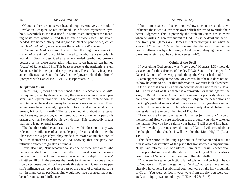Of course there are no seven-headed dragons. And yes, the book of Revelation—chapter 12 not excluded—is rife with mysterious symbols. Nevertheless, the text itself, in some cases, interprets the meaning of its own symbols—and this is one of those cases. The sevenheaded, ten-horned "fiery red dragon" is "that serpent of old, *called the Devil and Satan*, who deceives the whole world" (verse 9).

If Satan the Devil is a symbol of evil, then the dragon is a *symbol of a symbol* of evil. Why would John need to symbolize a symbol? He wouldn't! Satan is described as a seven-headed, ten-horned creature because of his close association with the seven-headed, ten-horned "beast" of Revelation 13:1. This beast represents the Antichrist system Satan uses in his attempt to destroy the saints. The similarity in appearance indicates that Satan the Devil is the "power behind the throne" (compare with Daniel 10:10–21; 12:1; Ephesians 6:12).

#### *Temptation to Sin*

James 1:14,15, though not mentioned in the 1877 *Statement of Faith*, is frequently cited by those who deny the existence of an external, personal, and supernatural devil. The passage states that each person "is tempted when he is drawn away by *his own desires* and enticed. Then, when desire has conceived, it gives birth to sin; and sin, when it is fullgrown, brings forth death." The text says nothing about an external devil causing temptation; rather, temptation occurs when a person is drawn away and enticed by his *own* desires. This supposedly means that there is no external tempter.

The fact that sinful behavior arises from within does not in any way rule out the influence of an outside party. Jesus said that after the Pharisees won a proselyte, they made him "twice as much a son of hell" as themselves (Matthew 23:15), showing that one party can influence another to greater sinfulness.

Jesus also said, "But whoever causes one of these little ones who believe in Me to sin, it would be better for him if a millstone were hung around his neck, and he were drowned in the depth of the sea" (Matthew 18:6). If the process that leads to sin never involves an outside party, Jesus would not have made this statement. Clearly, one person's influence can be at least a part of the cause of another person's sin. In many cases, particular sins would not have occurred had it not been for an external influence.

If one human can so influence another, how much more can the devil influence those who allow their own selfish desires to override their better judgment? This is precisely the problem James has in view when he writes, "Therefore submit to God. Resist the devil and he will flee from you" (James 4:7). James is not personifying sin when he speaks of "the devil." Rather, he is saying that the way to remove the devil's influence is by submitting to God through denying the self the pleasures of sin (read the context: verses 1–10).

#### **Origin of the Devil**

If everything God created was "very good" (Genesis 1:31), how do we account for the existence of the devil? Was Satan—the "serpent" of Genesis 3—one of the "very good" things the Creator had made?

Satan appears early in the book of Genesis, but the text does not tell us how he came to be. For that information, we must look elsewhere.

One place that gives us a clue on how the devil came to be is Isaiah 14. The first part of this chapter is a "proverb," or taunt, against the king of Babylon (verse 4). While this section is primarily about the corruption and fall of the *human* king of Babylon, the descriptions of the king's prideful reign and ultimate descent from greatness reflect the fall of the *superhuman* ruler who was surely at work behind the scenes during the reign of the king of Babylon.

"How you are fallen from heaven, O Lucifer [or "Day Star"], son of the morning! How you are cut down to the ground, you who weakened the nations! For you have said in your heart: 'I will ascend into heaven, I will exalt my throne above the stars of God…I will ascend above the heights of the clouds, I will be like the Most High'" (Isaiah 14:12–14).

This description of the king's prideful self-exaltation and resultant ruin is also a description of the pride that transformed a supernatural "Day Star" into the ruler of darkness. Similarly, Ezekiel's description of the prideful reign and ultimate fall of the king of Tyre is also a description of Satan's former glory and ultimate rebellion.

"You were the seal of perfection, full of wisdom and perfect in beauty. You were in Eden, the garden of God….You were the anointed cherub who covers; I established you; you were on the holy mountain of God….You were perfect in your ways from the day you were created, till iniquity was found in you" (Ezekiel 28:13–15).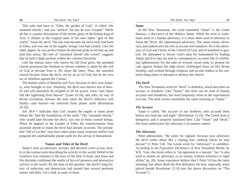This ruler had been in "Eden, the garden of God," is called "the anointed cherub," and was "perfect" the day he was "created." While all this is a poetic description of the former glory of the human king of Tyre, it alludes to the original state of the now fallen "god of this world," Satan the devil. The one who became the devil truly had been in Eden, and was one of the angelic beings God had created. Like the other angels, he was perfect before he allowed pride to lift him up and lead him astray. His title of "anointed cherub who covers" suggests that he held a high position within the celestial hierarchy.

Like the human rulers who mirror his fall from glory, the anointed cherub possessed the freedom to choose whether to abide by the will of God or deviate from it. He chose the latter. Thus, the anointed cherub became Satan the devil, not by an act of God, but by his own act of rebellion against the Creator.

The human rulers of Babylon and Tyre, because of their own iniquity, were brought to ruin. Similarly, the devil was thrown out of heaven and will ultimately be stripped of all his power. Jesus "saw Satan fall like lightening from heaven" (Luke 10:18), and John, by way of divine revelation, foresaw the time when the devil's influence will finally—and forever—be removed from planet earth (Revelation 20:10).

Job 38:4–7 indicates that God created the angels at some point before He "laid the foundations of the earth." The "anointed cherub," who would later become the devil, was one of those created beings. When he appears in the Garden of Eden, the transformation from anointed cherub to Satan the devil had already occurred. The primordial "fall of Lucifer" may have taken place many centuries before God prepared the uninhabitable planet earth for the arrival of humankind.

#### **Names and Titles of the Devil**

Satan's roles as adversary, accuser, and deceiver come across clearly in the various texts describing his activity in this world. Belief in his existence was common to the Jews of the time of Jesus, and Jesus and His disciples confirmed the reality of his evil presence and destructive activity in the world. By the time of the apostles, the devil's long history of seduction and destruction had earned him several pertinent names and titles. Let's look at some of them.

#### *Satan*

In the New Testament, the word translated "Satan" is the Greek *Satanas*, a derivative of the Hebrew *Satan.* While the term is sometimes used of a human adversary, it is most often used in reference to Satan the Devil, the supernatural adversary. The name means adversary, and underscores his role as accuser and slanderer. He is the adversary of God and Christ, of the Church of God, and of mankind in general. He attempted to thwart God's plan for humankind by leading Adam and Eve into sin and its consequences; accused Job of exhibiting righteousness for the sake of reward; stood ready to present his case against Joshua the high priest; challenged Jesus on His divine Sonship; and worked through religious and secular leaders in his centuries-long chain of attempts to destroy the church.

#### *The Devil*

The New Testament word for "devil" is *diabolos*, which describes an accuser or slanderer. Like "Satan," this term can be used of human accusers and slanderers, but most frequently refers to the supernatural evil one. The term carries essentially the same meaning as "Satan."

#### *The Accuser*

Satan is called "the accuser of our brethren, who accused them before our God day and night" (Revelation 12:10). The Greek term is *kategoros*, and is properly translated here. Like "Satan" and "devil," this term underscores the adversary's accusatory nature.

#### *The Adversary*

Peter admonishes, "Be sober, be vigilant; because your adversary the devil walks about like a roaring lion, seeking whom he may devour" (1 Peter 5:8). The Greek word for "adversary" is *antidikos*. According to *An Expository Dictionary of New Testament Words*, by W.E. Vine, this terms refers to "an opponent in a lawsuit," but "is also used to denote an adversary or an enemy, without reference to legal affairs" (p. 26). Some expositors believe that 1 Peter 5:8 has the latter meaning, but others think the first definition fits best, especially when placed beside Revelation 12:10 (see the above discussion on "The Accuser").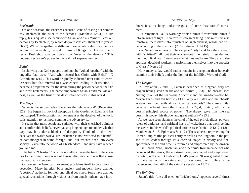#### *Beelzebub*

On one occasion, the Pharisees accused Jesus of casting out demons "by Beelzebub, the ruler of the demons" (Matthew 12:24). In His reply, Jesus equates Beelzebub with Satan, and asks, "And if I cast out demons by Beelzebub, by whom do your sons cast them out?" (verses 26,27). While the spelling is different, Beelzebub is almost certainly a variant of Baal-Zebub, the god of Ekron (2 Kings 1:2). By the time of Jesus, Beelzebub was considered the "ruler of the demons." This underscores Satan's power in the realm of supernatural evil.

#### *Belial*

In showing that God's people ought not be "yoked together" with the ungodly, Paul asks, "And what accord has Christ with Belial?" (2 Corinthians 6:15). This word originally indicated utter ruin or worthlessness, but also referred to a wickedness leading to destruction. It became a proper name for the devil during the period between the Old and New Testaments. The name emphasizes Satan's extreme wickedness, as well as the fruit of his destructive activity in this world.

#### *The Serpent*

Satan is the serpent who "deceives the whole world" (Revelation 12:9). He began his work of deception in the Garden of Eden, and has not stopped. The description of the serpent as the deceiver of the world calls attention to just how cunning the adversary is.

It seems that most people are satisfied with their cherished opinions and comfortable beliefs, never pausing long enough to ponder whether *they* may be under a blanket of deception. Think of it: the devil deceives the *whole world*. His influence is not restricted to a handful of hate-mongers in some foreign land, but reaches deep into *every* society—even into the world of Christendom—and *may* have reached you and me!

The list of "Christian" *heresies* is endless. From the time of the apostles to the present, one wave of heresy after another has rolled across the sea of Christendom.

Of course, no heretical movement proclaims itself to be a work of deception. Many heretics, both ancient and modern, have claimed "apostolic" authority for their unbiblical doctrines. Some have claimed special revelations through visions or from angels; others have introduced false teachings under the guise of some "restoration" move ment.

But remember Paul's warning: "Satan himself transforms himself into an angel of light. Therefore it is no great thing if his ministers also transform themselves into ministers of righteousness, whose end will be according to their works" (2 Corinthians 11:14,15).

Yes, Satan has *ministers*. They appear "holy" and lace their speech with "spiritual" talk, but their *works*—both their sinful lifestyles and their unbiblical *doctrines*—reveal what they really are. They are "false apostles, deceitful workers, transforming themselves into the apostles of Christ" (verse 13).

How many today would rather remain in deception than honestly examine their beliefs under the light of the infallible Word of God?

#### *The Dragon*

In Revelation 12 and 13, Satan is described as a "great, fiery red dragon having seven heads and ten horns" (12:3). The "beast" seen "rising up out of the sea"—the Antichrist and his kingdom—also has "seven heads and ten horns" (13:1). Why are Satan and the "beast" system described with almost identical symbols? They are similar because the beast bears the image of its "god," Satan, who is the beast's principal source of power. "The dragon gave him [the sea beast] his power, his throne, and great authority" (13:2).

As we have seen, Satan is the chief of the evil principalities, powers, rulers of darkness, and spiritual hosts of wickedness that work behind the scenes in this world's political entities (see Daniel 10:12–21; 12:1; Matthew 2:16–18; Ephesians 6:11,12). The sea beast, representing the Roman Empire (the political entity as well as the kingdom in the per son of its leader) through its successive stages in history and final appearance in the end-time, is inspired and empowered by the dragon.

Like Herod, Nero, Diocletian, and other cruel Roman emperors who persecuted the saints, the end-time beast, motivated and empowered by Satan, will attempt to destroy God's people. "It was granted to him to make war with the saints and to overcome them….Here is the patience and the faith of the saints" (Revelation 13:7,9).

#### *The Evil One*

Satan's title "the evil one," or "wicked one," appears several times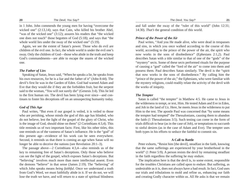in 1 John. John commends the young men for having "overcome the wicked one" (2:13,14); says that Cain, who killed his brother Abel, "was of the wicked one" (3:12); assures his readers that "the wicked" one does not touch" those begotten of God (5:18); and says that "the whole world lies under the sway of the wicked one" (5:19).

Again, we see the extent of Satan's power. Those who do evil are children of the evil one. In fact, the whole world is under the evil one's sway. Only the children of God—those who abide in the truth and keep God's commandments—are able to escape the snares of the wicked one.

#### *The Father of Lies*

Speaking of Satan, Jesus said, "When he speaks a lie, he speaks from his own resources, for he is a liar and the father of it" (John 8:44). The devil's first lie was in the Garden of Eden. God had warned Adam and Eve that they would die if they ate the forbidden fruit, but the serpent said to the woman, "You will not surely die" (Genesis 3:4). This lie led to the first human sin. The devil has been lying ever since—and continues to foster his deceptions off on an unsuspecting humanity today.

## *God of This Age*

Paul writes, "But even if our gospel is veiled, it is veiled to those who are perishing, whose minds the god of this age has blinded, who do not believe, lest the light of the gospel of the glory of Christ, who is the image of God, should shine on them" (2 Corinthians 4:3,4). This title reminds us of two important facts: First, like his other titles, this one reminds us of the vastness of Satan's influence. He is the "god" of this present age—evidence of his work can be seen everywhere. Second, it reminds us that there is coming an age when Satan will no longer be able to deceive the nations (see Revelation 20:1–3).

The passage above—2 Corinthians 4:3,4—also reminds us of the key to remaining free of Satan's deceptions. Only those who believe can see the light of the gospel, which exposes Satan's deceptions. But "believing" involves much more than mere intellectual assent. Even the demons "believe" in that sense (James 2:19). The "believing" of which John speaks means *being faithful*. Once we understand a truth from God's Word, we must faithfully abide in it. If we do not, we will lose the truth we have, and will return to a state of spiritual blindness

and fall under the sway of the "ruler of this world" (John 12:31; 14:30). *That's* the general condition of this world.

#### *Prince of the Power of the Air*

Paul writes, "And you He made alive, who were dead in trespasses and sins, in which you once walked according to the course of this world, according to the prince of the power of the air, the spirit who now works in the sons of disobedience" (Ephesians 2:1,2). Paul describes Satan with a title similar to that of one of the "gods" of the "mystery" sects. Some of these sects performed rituals for the purpose of causing a "god" called the "lord of the air" to come into them and possess them. Paul describes Satan similarly. The devil is the "spirit that now works in the sons of disobedience." By calling him the "prince of the power of the air," the Ephesians, who were familiar with the mystery religions, could readily relate the activity of the devil with the works of iniquity.

#### *The Tempter*

Satan is called "the tempter" in Matthew 4:5. He came to Jesus in the wilderness to tempt, or *test*, Him. He tested Adam and Eve in Eden, and Job in the land of Uz. Here, he meets Jesus in the wilderness to put Him to the test. The apostle Paul was concerned that "by some means the tempter had tempted" the Thessalonians, causing them to abandon the faith (1 Thessalonians 3:5). Such testing can come in the form of trials difficult to bear (as in the case of Job), or temptations to succumb to sinful desires (as in the case of Adam and Eve). The tempter uses both types in his efforts to seduce the faithful to commit sin.

#### **A Call to Battle**

Peter exhorts, "Resist him [the devil], steadfast in the faith, knowing that the same sufferings are experienced by your brotherhood in the world" (1 Peter 5:9). A person resists the devil by remaining steadfast in the faith regardless the suffering he may endure.

The implication here is that the devil is, to some extent, responsible for the troubles Christians are called upon to endure. But suffering, as undesirable as it is, does not always have a bad result. In fact, God uses our trials and tribulations to mold and refine us, enhancing our faith and creating Godly character within us. All He asks is that we remain